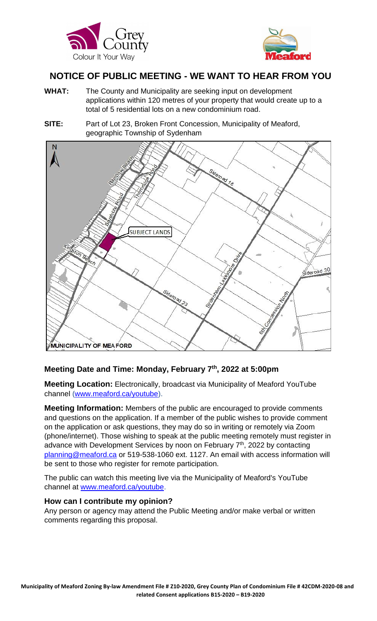



# **NOTICE OF PUBLIC MEETING - WE WANT TO HEAR FROM YOU**

- **WHAT:** The County and Municipality are seeking input on development applications within 120 metres of your property that would create up to a total of 5 residential lots on a new condominium road.
- **SITE:** Part of Lot 23, Broken Front Concession, Municipality of Meaford, geographic Township of Sydenham



# **Meeting Date and Time: Monday, February 7th, 2022 at 5:00pm**

**Meeting Location:** Electronically, broadcast via Municipality of Meaford YouTube channel [\(www.meaford.ca/youtube\)](http://www.meaford.ca/youtube).

**Meeting Information:** Members of the public are encouraged to provide comments and questions on the application. If a member of the public wishes to provide comment on the application or ask questions, they may do so in writing or remotely via Zoom (phone/internet). Those wishing to speak at the public meeting remotely must register in advance with Development Services by noon on February  $7<sup>th</sup>$ , 2022 by contacting [planning@meaford.ca](mailto:planning@meaford.ca) or 519-538-1060 ext. 1127. An email with access information will be sent to those who register for remote participation.

The public can watch this meeting live via the Municipality of Meaford's YouTube channel at [www.meaford.ca/youtube.](http://www.meaford.ca/youtube)

#### **How can I contribute my opinion?**

Any person or agency may attend the Public Meeting and/or make verbal or written comments regarding this proposal.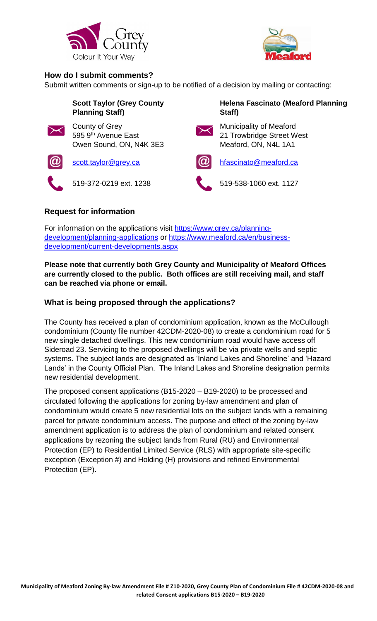



#### **How do I submit comments?**

Submit written comments or sign-up to be notified of a decision by mailing or contacting:

|                       | <b>Scott Taylor (Grey County</b><br><b>Planning Staff)</b>       |               | Helena Fascinato (Meaford Planning<br>Staff)                                 |
|-----------------------|------------------------------------------------------------------|---------------|------------------------------------------------------------------------------|
| $\blacktriangleright$ | County of Grey<br>595 9th Avenue East<br>Owen Sound, ON, N4K 3E3 |               | Municipality of Meaford<br>21 Trowbridge Street West<br>Meaford, ON, N4L 1A1 |
| $   \mathbf{Q}$       | scott.taylor@grey.ca                                             | $\bm{\omega}$ | hfascinato@meaford.ca                                                        |
|                       | 519-372-0219 ext. 1238                                           |               | 519-538-1060 ext. 1127                                                       |
|                       |                                                                  |               |                                                                              |

## **Request for information**

For information on the applications visit [https://www.grey.ca/planning](https://www.grey.ca/planning-development/planning-applications)[development/planning-applications](https://www.grey.ca/planning-development/planning-applications) or [https://www.meaford.ca/en/business](https://www.meaford.ca/en/business-development/current-developments.aspx)[development/current-developments.aspx](https://www.meaford.ca/en/business-development/current-developments.aspx)

**Please note that currently both Grey County and Municipality of Meaford Offices are currently closed to the public. Both offices are still receiving mail, and staff can be reached via phone or email.**

## **What is being proposed through the applications?**

The County has received a plan of condominium application, known as the McCullough condominium (County file number 42CDM-2020-08) to create a condominium road for 5 new single detached dwellings. This new condominium road would have access off Sideroad 23. Servicing to the proposed dwellings will be via private wells and septic systems. The subject lands are designated as 'Inland Lakes and Shoreline' and 'Hazard Lands' in the County Official Plan. The Inland Lakes and Shoreline designation permits new residential development.

The proposed consent applications (B15-2020 – B19-2020) to be processed and circulated following the applications for zoning by-law amendment and plan of condominium would create 5 new residential lots on the subject lands with a remaining parcel for private condominium access. The purpose and effect of the zoning by-law amendment application is to address the plan of condominium and related consent applications by rezoning the subject lands from Rural (RU) and Environmental Protection (EP) to Residential Limited Service (RLS) with appropriate site-specific exception (Exception #) and Holding (H) provisions and refined Environmental Protection (EP).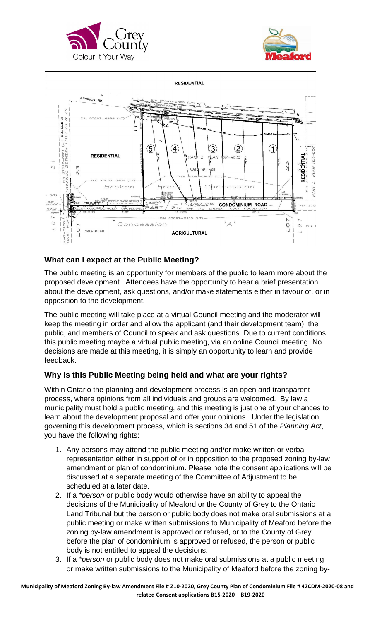





## **What can I expect at the Public Meeting?**

The public meeting is an opportunity for members of the public to learn more about the proposed development. Attendees have the opportunity to hear a brief presentation about the development, ask questions, and/or make statements either in favour of, or in opposition to the development.

The public meeting will take place at a virtual Council meeting and the moderator will keep the meeting in order and allow the applicant (and their development team), the public, and members of Council to speak and ask questions. Due to current conditions this public meeting maybe a virtual public meeting, via an online Council meeting. No decisions are made at this meeting, it is simply an opportunity to learn and provide feedback.

#### **Why is this Public Meeting being held and what are your rights?**

Within Ontario the planning and development process is an open and transparent process, where opinions from all individuals and groups are welcomed. By law a municipality must hold a public meeting, and this meeting is just one of your chances to learn about the development proposal and offer your opinions. Under the legislation governing this development process, which is sections 34 and 51 of the *Planning Act*, you have the following rights:

- 1. Any persons may attend the public meeting and/or make written or verbal representation either in support of or in opposition to the proposed zoning by-law amendment or plan of condominium. Please note the consent applications will be discussed at a separate meeting of the Committee of Adjustment to be scheduled at a later date.
- 2. If a *\*person* or public body would otherwise have an ability to appeal the decisions of the Municipality of Meaford or the County of Grey to the Ontario Land Tribunal but the person or public body does not make oral submissions at a public meeting or make written submissions to Municipality of Meaford before the zoning by-law amendment is approved or refused, or to the County of Grey before the plan of condominium is approved or refused, the person or public body is not entitled to appeal the decisions.
- 3. If a *\*person* or public body does not make oral submissions at a public meeting or make written submissions to the Municipality of Meaford before the zoning by-